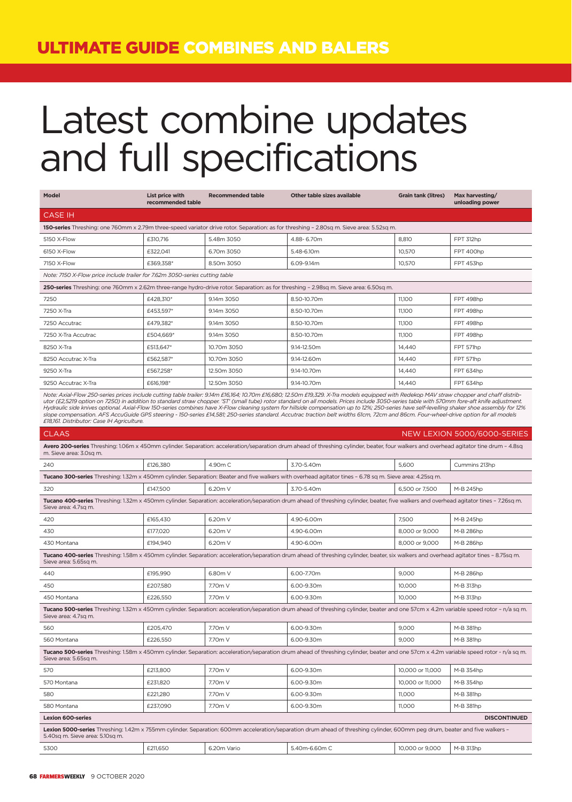# Latest combine updates and full specifications

| <b>Model</b>                                                                                                                                                                                                                                                                                                                                                                                                                                                                                                                                                                                                                                                                                                                                                                                                                | List price with<br>recommended table | <b>Recommended table</b> | Other table sizes available                                                                                                                                                             | <b>Grain tank (litres)</b> | Max harvesting/<br>unloading power |  |  |
|-----------------------------------------------------------------------------------------------------------------------------------------------------------------------------------------------------------------------------------------------------------------------------------------------------------------------------------------------------------------------------------------------------------------------------------------------------------------------------------------------------------------------------------------------------------------------------------------------------------------------------------------------------------------------------------------------------------------------------------------------------------------------------------------------------------------------------|--------------------------------------|--------------------------|-----------------------------------------------------------------------------------------------------------------------------------------------------------------------------------------|----------------------------|------------------------------------|--|--|
| <b>CASE IH</b>                                                                                                                                                                                                                                                                                                                                                                                                                                                                                                                                                                                                                                                                                                                                                                                                              |                                      |                          |                                                                                                                                                                                         |                            |                                    |  |  |
|                                                                                                                                                                                                                                                                                                                                                                                                                                                                                                                                                                                                                                                                                                                                                                                                                             |                                      |                          | 150-series Threshing: one 760mm x 2.79m three-speed variator drive rotor. Separation: as for threshing - 2.80sq m. Sieve area: 5.52sq m.                                                |                            |                                    |  |  |
| 5150 X-Flow                                                                                                                                                                                                                                                                                                                                                                                                                                                                                                                                                                                                                                                                                                                                                                                                                 | £310,716                             | 5.48m 3050               | 4.88-6.70m                                                                                                                                                                              | 8,810                      | FPT 312hp                          |  |  |
| 6150 X-Flow                                                                                                                                                                                                                                                                                                                                                                                                                                                                                                                                                                                                                                                                                                                                                                                                                 | £322.041                             | 6.70m 3050               | 5.48-6.10m                                                                                                                                                                              | 10,570                     | FPT 400hp                          |  |  |
| 7150 X-Flow                                                                                                                                                                                                                                                                                                                                                                                                                                                                                                                                                                                                                                                                                                                                                                                                                 | £369,358*                            | 8.50m 3050               | 6.09-9.14m                                                                                                                                                                              | 10,570                     | FPT 453hp                          |  |  |
| Note: 7150 X-Flow price include trailer for 7.62m 3050-series cutting table                                                                                                                                                                                                                                                                                                                                                                                                                                                                                                                                                                                                                                                                                                                                                 |                                      |                          |                                                                                                                                                                                         |                            |                                    |  |  |
| 250-series Threshing: one 760mm x 2.62m three-range hydro-drive rotor. Separation: as for threshing - 2.98sq m. Sieve area: 6.50sq m.                                                                                                                                                                                                                                                                                                                                                                                                                                                                                                                                                                                                                                                                                       |                                      |                          |                                                                                                                                                                                         |                            |                                    |  |  |
| 7250                                                                                                                                                                                                                                                                                                                                                                                                                                                                                                                                                                                                                                                                                                                                                                                                                        | £428,310*                            | 9.14m 3050               | 8.50-10.70m                                                                                                                                                                             | 11,100                     | FPT 498hp                          |  |  |
| 7250 X-Tra                                                                                                                                                                                                                                                                                                                                                                                                                                                                                                                                                                                                                                                                                                                                                                                                                  | £453.597*                            | 9.14m 3050               | 8.50-10.70m                                                                                                                                                                             | 11,100                     | FPT 498hp                          |  |  |
| 7250 Accutrac                                                                                                                                                                                                                                                                                                                                                                                                                                                                                                                                                                                                                                                                                                                                                                                                               | £479,382*                            | 9.14m 3050               | 8.50-10.70m                                                                                                                                                                             | 11,100                     | FPT 498hp                          |  |  |
| 7250 X-Tra Accutrac                                                                                                                                                                                                                                                                                                                                                                                                                                                                                                                                                                                                                                                                                                                                                                                                         | £504,669*                            | 9.14m 3050               | 8.50-10.70m                                                                                                                                                                             | 11,100                     | FPT 498hp                          |  |  |
| 8250 X-Tra                                                                                                                                                                                                                                                                                                                                                                                                                                                                                                                                                                                                                                                                                                                                                                                                                  | £513,647*                            | 10.70m 3050              | 9.14-12.50m                                                                                                                                                                             | 14,440                     | FPT 571hp                          |  |  |
| 8250 Accutrac X-Tra                                                                                                                                                                                                                                                                                                                                                                                                                                                                                                                                                                                                                                                                                                                                                                                                         | £562,587*                            | 10.70m 3050              | 9.14-12.60m                                                                                                                                                                             | 14,440                     | FPT 571hp                          |  |  |
| 9250 X-Tra                                                                                                                                                                                                                                                                                                                                                                                                                                                                                                                                                                                                                                                                                                                                                                                                                  | £567,258*                            | 12.50m 3050              | 9.14-10.70m                                                                                                                                                                             | 14,440                     | FPT 634hp                          |  |  |
| 9250 Accutrac X-Tra                                                                                                                                                                                                                                                                                                                                                                                                                                                                                                                                                                                                                                                                                                                                                                                                         | £616.198*                            | 12.50m 3050              | 9.14-10.70m                                                                                                                                                                             | 14.440                     | FPT 634hp                          |  |  |
| Note: Axial-Flow 250-series prices include cutting table trailer: 9.14m £16,164; 10.70m £16,680; 12.50m £19,329. X-Tra models equipped with Redekop MAV straw chopper and chaff distrib-<br>utor (£2,5219 option on 7250) in addition to standard straw chopper. 'ST' (small tube) rotor standard on all models. Prices include 3050-series table with 570mm fore-aft knife adjustment.<br>Hydraulic side knives optional. Axial-Flow 150-series combines have X-Flow cleaning system for hillside compensation up to 12%; 250-series have self-levelling shaker shoe assembly for 12%<br>slope compensation. AFS AccuGuide GPS steering - 150-series £14,581; 250-series standard. Accutrac traction belt widths 61cm, 72cm and 86cm. Four-wheel-drive option for all models<br>£18,161. Distributor: Case IH Agriculture. |                                      |                          |                                                                                                                                                                                         |                            |                                    |  |  |
| <b>CLAAS</b>                                                                                                                                                                                                                                                                                                                                                                                                                                                                                                                                                                                                                                                                                                                                                                                                                |                                      |                          |                                                                                                                                                                                         |                            | NEW LEXION 5000/6000-SERIES        |  |  |
| m. Sieve area: 3.0sq m.                                                                                                                                                                                                                                                                                                                                                                                                                                                                                                                                                                                                                                                                                                                                                                                                     |                                      |                          | Avero 200-series Threshing: 1.06m x 450mm cylinder. Separation: acceleration/separation drum ahead of threshing cylinder, beater, four walkers and overhead agitator tine drum - 4.8sq  |                            |                                    |  |  |
| 240                                                                                                                                                                                                                                                                                                                                                                                                                                                                                                                                                                                                                                                                                                                                                                                                                         | £126,380                             | 4.90m C                  | 3.70-5.40m                                                                                                                                                                              | 5,600                      | Cummins 213hp                      |  |  |
|                                                                                                                                                                                                                                                                                                                                                                                                                                                                                                                                                                                                                                                                                                                                                                                                                             |                                      |                          | Tucano 300-series Threshing: 1.32m x 450mm cylinder. Separation: Beater and five walkers with overhead agitator tines - 6.78 sq m. Sieve area: 4.25sq m.                                |                            |                                    |  |  |
| 320                                                                                                                                                                                                                                                                                                                                                                                                                                                                                                                                                                                                                                                                                                                                                                                                                         | £147,500                             | 6.20m V                  | 3.70-5.40m                                                                                                                                                                              | 6,500 or 7,500             | M-B 245hp                          |  |  |
| Sieve area: 4.7sq m.                                                                                                                                                                                                                                                                                                                                                                                                                                                                                                                                                                                                                                                                                                                                                                                                        |                                      |                          | Tucano 400-series Threshing: 1.32m x 450mm cylinder. Separation: acceleration/separation drum ahead of threshing cylinder, beater, five walkers and overhead agitator tines - 7.26sq m. |                            |                                    |  |  |
| 420                                                                                                                                                                                                                                                                                                                                                                                                                                                                                                                                                                                                                                                                                                                                                                                                                         | £165,430                             | 6.20m V                  | 4.90-6.00m                                                                                                                                                                              | 7.500                      | M-B 245hp                          |  |  |
| 430                                                                                                                                                                                                                                                                                                                                                                                                                                                                                                                                                                                                                                                                                                                                                                                                                         | £177,020                             | 6.20m V                  | 4.90-6.00m                                                                                                                                                                              | 8,000 or 9,000             | M-B 286hp                          |  |  |
| 430 Montana                                                                                                                                                                                                                                                                                                                                                                                                                                                                                                                                                                                                                                                                                                                                                                                                                 | £194,940                             | 6.20m V                  | 4.90-6.00m                                                                                                                                                                              | 8,000 or 9,000             | M-B 286hp                          |  |  |
| Sieve area: 5.65sq m.                                                                                                                                                                                                                                                                                                                                                                                                                                                                                                                                                                                                                                                                                                                                                                                                       |                                      |                          | Tucano 400-series Threshing: 1.58m x 450mm cylinder. Separation: acceleration/separation drum ahead of threshing cylinder, beater, six walkers and overhead agitator tines - 8.75sq m.  |                            |                                    |  |  |
| 440                                                                                                                                                                                                                                                                                                                                                                                                                                                                                                                                                                                                                                                                                                                                                                                                                         | £195,990                             | 6.80m V                  | 6.00-7.70m                                                                                                                                                                              | 9,000                      | M-B 286hp                          |  |  |
| 450                                                                                                                                                                                                                                                                                                                                                                                                                                                                                                                                                                                                                                                                                                                                                                                                                         | £207,580                             | 7.70m V                  | 6.00-9.30m                                                                                                                                                                              | 10,000                     | M-B 313hp                          |  |  |
| 450 Montana                                                                                                                                                                                                                                                                                                                                                                                                                                                                                                                                                                                                                                                                                                                                                                                                                 | £226,550                             | 7.70m V                  | 6.00-9.30m                                                                                                                                                                              | 10,000                     | M-B 313hp                          |  |  |
| Sieve area: 4.7sq m.                                                                                                                                                                                                                                                                                                                                                                                                                                                                                                                                                                                                                                                                                                                                                                                                        |                                      |                          | Tucano 500-series Threshing: 1.32m x 450mm cylinder. Separation: acceleration/separation drum ahead of threshing cylinder, beater and one 57cm x 4.2m variable speed rotor - n/a sq m.  |                            |                                    |  |  |
| 560                                                                                                                                                                                                                                                                                                                                                                                                                                                                                                                                                                                                                                                                                                                                                                                                                         | £205,470                             | 7.70m V                  | 6.00-9.30m                                                                                                                                                                              | 9,000                      | M-B 381hp                          |  |  |
| 560 Montana                                                                                                                                                                                                                                                                                                                                                                                                                                                                                                                                                                                                                                                                                                                                                                                                                 | £226,550                             | 7.70m V                  | 6.00-9.30m                                                                                                                                                                              | 9,000                      | M-B 381hp                          |  |  |
| Sieve area: 5.65sq m.                                                                                                                                                                                                                                                                                                                                                                                                                                                                                                                                                                                                                                                                                                                                                                                                       |                                      |                          | Tucano 500-series Threshing: 1.58m x 450mm cylinder. Separation: acceleration/separation drum ahead of threshing cylinder, beater and one 57cm x 4.2m variable speed rotor - n/a sq m.  |                            |                                    |  |  |
| 570                                                                                                                                                                                                                                                                                                                                                                                                                                                                                                                                                                                                                                                                                                                                                                                                                         | £213,800                             | 7.70m V                  | 6.00-9.30m                                                                                                                                                                              | 10,000 or 11,000           | M-B 354hp                          |  |  |
| 570 Montana                                                                                                                                                                                                                                                                                                                                                                                                                                                                                                                                                                                                                                                                                                                                                                                                                 | £231,820                             | 7.70m V                  | 6.00-9.30m                                                                                                                                                                              | 10,000 or 11,000           | M-B 354hp                          |  |  |
| 580                                                                                                                                                                                                                                                                                                                                                                                                                                                                                                                                                                                                                                                                                                                                                                                                                         | £221,280                             | 7.70m V                  | 6.00-9.30m                                                                                                                                                                              | 11,000                     | M-B 381hp                          |  |  |
| 580 Montana                                                                                                                                                                                                                                                                                                                                                                                                                                                                                                                                                                                                                                                                                                                                                                                                                 | £237,090                             | 7.70m V                  | 6.00-9.30m                                                                                                                                                                              | 11,000                     | M-B 381hp                          |  |  |
| <b>Lexion 600-series</b>                                                                                                                                                                                                                                                                                                                                                                                                                                                                                                                                                                                                                                                                                                                                                                                                    |                                      |                          |                                                                                                                                                                                         |                            | <b>DISCONTINUED</b>                |  |  |
| 5.40sq m. Sieve area: 5.10sq m.                                                                                                                                                                                                                                                                                                                                                                                                                                                                                                                                                                                                                                                                                                                                                                                             |                                      |                          | Lexion 5000-series Threshing: 1.42m x 755mm cylinder. Separation: 600mm acceleration/separation drum ahead of threshing cylinder, 600mm peg drum, beater and five walkers -             |                            |                                    |  |  |
| 5300                                                                                                                                                                                                                                                                                                                                                                                                                                                                                                                                                                                                                                                                                                                                                                                                                        | £211,650                             | 6.20m Vario              | 5.40m-6.60m C                                                                                                                                                                           | 10,000 or 9,000            | M-B 313hp                          |  |  |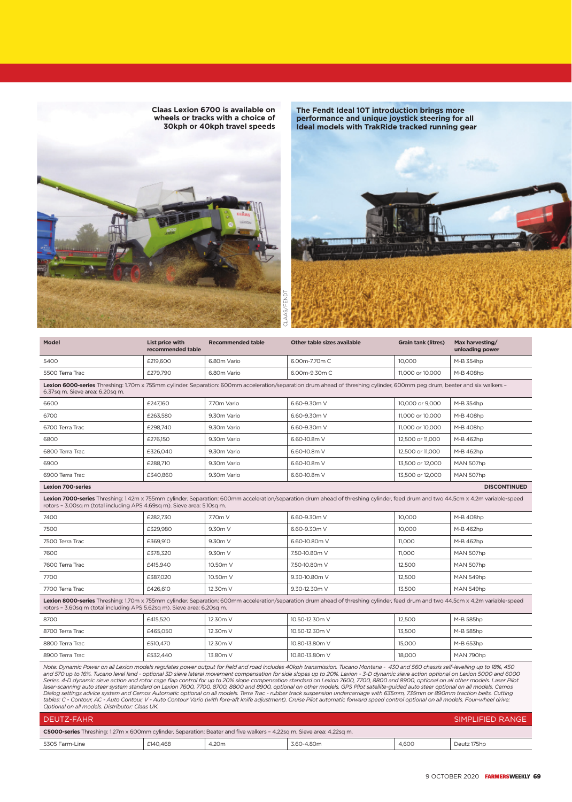

**The Fendt Ideal 10T introduction brings more performance and unique joystick steering for all Ideal models with TrakRide tracked running gear**

| <b>Model</b>                                                                                                                                                                                                                                                | List price with<br>recommended table | <b>Recommended table</b> | Other table sizes available                                                                                                                                                      | <b>Grain tank (litres)</b> | Max harvesting/<br>unloading power |  |  |
|-------------------------------------------------------------------------------------------------------------------------------------------------------------------------------------------------------------------------------------------------------------|--------------------------------------|--------------------------|----------------------------------------------------------------------------------------------------------------------------------------------------------------------------------|----------------------------|------------------------------------|--|--|
| 5400                                                                                                                                                                                                                                                        | £219,600                             | 6.80m Vario              | 6.00m-7.70m C                                                                                                                                                                    | 10.000                     | M-B 354hp                          |  |  |
| 5500 Terra Trac                                                                                                                                                                                                                                             | £279,790                             | 6.80m Vario              | 6.00m-9.30m C                                                                                                                                                                    | 11,000 or 10,000           | M-B 408hp                          |  |  |
| Lexion 6000-series Threshing: 1.70m x 755mm cylinder. Separation: 600mm acceleration/separation drum ahead of threshing cylinder, 600mm peg drum, beater and six walkers -<br>6.37sa m. Sieve area: 6.20sa m.                                               |                                      |                          |                                                                                                                                                                                  |                            |                                    |  |  |
| 6600                                                                                                                                                                                                                                                        | £247,160                             | 7.70m Vario              | 6.60-9.30m V                                                                                                                                                                     | 10,000 or 9,000            | M-B 354hp                          |  |  |
| 6700                                                                                                                                                                                                                                                        | £263.580                             | 9.30m Vario              | 6.60-9.30m V                                                                                                                                                                     | 11,000 or 10,000           | M-B 408hp                          |  |  |
| 6700 Terra Trac                                                                                                                                                                                                                                             | £298.740                             | 9.30m Vario              | 6.60-9.30m V                                                                                                                                                                     | 11,000 or 10,000           | M-B 408hp                          |  |  |
| 6800                                                                                                                                                                                                                                                        | £276.150                             | 9.30m Vario              | 6.60-10.8m V                                                                                                                                                                     | 12,500 or 11,000           | M-B 462hp                          |  |  |
| 6800 Terra Trac                                                                                                                                                                                                                                             | £326.040                             | 9.30m Vario              | 6.60-10.8m V                                                                                                                                                                     | 12,500 or 11,000           | M-B 462hp                          |  |  |
| 6900                                                                                                                                                                                                                                                        | £288.710                             | 9.30m Vario              | 6.60-10.8m V                                                                                                                                                                     | 13.500 or 12.000           | MAN 507hp                          |  |  |
| 6900 Terra Trac                                                                                                                                                                                                                                             | £340.860                             | 9.30m Vario              | 6.60-10.8m V                                                                                                                                                                     | 13,500 or 12,000           | MAN 507hp                          |  |  |
| <b>Lexion 700-series</b>                                                                                                                                                                                                                                    |                                      |                          |                                                                                                                                                                                  |                            | <b>DISCONTINUED</b>                |  |  |
| rotors - 3.00sq m (total including APS 4.69sq m). Sieve area: 5.10sq m.                                                                                                                                                                                     |                                      |                          | Lexion 7000-series Threshing: 1.42m x 755mm cylinder. Separation: 600mm acceleration/separation drum ahead of threshing cylinder, feed drum and two 44.5cm x 4.2m variable-speed |                            |                                    |  |  |
| 7400                                                                                                                                                                                                                                                        | £282,730                             | 7.70m V                  | 6.60-9.30m V                                                                                                                                                                     | 10,000                     | M-B 408hp                          |  |  |
| 7500                                                                                                                                                                                                                                                        | £329,980                             | 9.30m V                  | 6.60-9.30m V                                                                                                                                                                     | 10.000                     | M-B 462hp                          |  |  |
| 7500 Terra Trac                                                                                                                                                                                                                                             | £369,910                             | 9.30m V                  | 6.60-10.80m V                                                                                                                                                                    | 11,000                     | M-B 462hp                          |  |  |
| 7600                                                                                                                                                                                                                                                        | £378.320                             | 9.30m V                  | 7.50-10.80m V                                                                                                                                                                    | 11.000                     | MAN 507hp                          |  |  |
| 7600 Terra Trac                                                                                                                                                                                                                                             | £415.940                             | 10.50m V                 | 7.50-10.80m V                                                                                                                                                                    | 12.500                     | MAN 507hp                          |  |  |
| 7700                                                                                                                                                                                                                                                        | £387,020                             | 10.50m V                 | 9.30-10.80m V                                                                                                                                                                    | 12,500                     | MAN 549hp                          |  |  |
| 7700 Terra Trac                                                                                                                                                                                                                                             | £426,610                             | 12.30m V                 | 9.30-12.30m V                                                                                                                                                                    | 13,500                     | MAN 549hp                          |  |  |
| Lexion 8000-series Threshing: 1.70m x 755mm cylinder. Separation: 600mm acceleration/separation drum ahead of threshing cylinder, feed drum and two 44.5cm x 4.2m variable-speed<br>rotors - 3.60sq m (total including APS 5.62sq m). Sieve area: 6.20sq m. |                                      |                          |                                                                                                                                                                                  |                            |                                    |  |  |
| 8700                                                                                                                                                                                                                                                        | £415,520                             | 12.30m V                 | 10.50-12.30m V                                                                                                                                                                   | 12,500                     | M-B 585hp                          |  |  |
| 8700 Terra Trac                                                                                                                                                                                                                                             | £465.050                             | 12.30m V                 | 10.50-12.30m V                                                                                                                                                                   | 13.500                     | M-B 585hp                          |  |  |
| 8800 Terra Trac                                                                                                                                                                                                                                             | £510,470                             | 12.30m V                 | 10.80-13.80m V                                                                                                                                                                   | 15,000                     | M-B 653hp                          |  |  |
| 8900 Terra Trac                                                                                                                                                                                                                                             | £532,440                             | 13.80m V                 | 10.80-13.80m V                                                                                                                                                                   | 18,000                     | MAN 790hp                          |  |  |

Note: Dynamic Power on all Lexion models regulates power output for field and road includes 40kph transmission. Tucano Montana - 430 and 560 chassis self-levelling up to 18%, 450<br>and 570 up to 16%. Tucano level land - opti

| DEUTZ-FAHR                                                                                                                   | SIMPLIFIED RANGE |  |  |  |             |  |
|------------------------------------------------------------------------------------------------------------------------------|------------------|--|--|--|-------------|--|
| <b>C5000-series</b> Threshing: 1.27m x 600mm cylinder. Separation: Beater and five walkers - 4.22sq m. Sieve area: 4.22sq m. |                  |  |  |  |             |  |
| 4.600<br>£140.468<br>4.20m<br>3.60-4.80m<br>5305 Farm-Line                                                                   |                  |  |  |  | Deutz 175hp |  |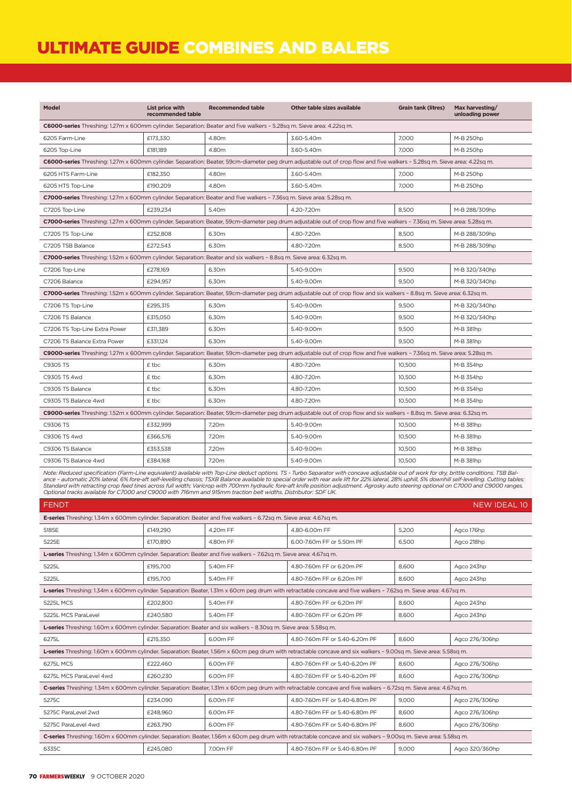## ULTIMATE GUIDE COMBINES AND BALERS

| Model                                                                                                                 | List price with<br>recommended table                                                                                                                                      | <b>Recommended table</b> | Other table sizes available                                                                                                                                               | <b>Grain tank (litres)</b> | Max harvesting/<br>unloading power |  |  |
|-----------------------------------------------------------------------------------------------------------------------|---------------------------------------------------------------------------------------------------------------------------------------------------------------------------|--------------------------|---------------------------------------------------------------------------------------------------------------------------------------------------------------------------|----------------------------|------------------------------------|--|--|
| C6000-series Threshing: 1.27m x 600mm cylinder. Separation: Beater and five walkers - 5.28sq m. Sieve area: 4.22sq m. |                                                                                                                                                                           |                          |                                                                                                                                                                           |                            |                                    |  |  |
| 6205 Farm-Line                                                                                                        | £173,330                                                                                                                                                                  | 4.80m                    | 3.60-5.40m                                                                                                                                                                | 7.000                      | M-B 250hp                          |  |  |
| 6205 Top-Line                                                                                                         | £181.189                                                                                                                                                                  | 4.80m                    | 3.60-5.40m                                                                                                                                                                | 7.000                      | M-B 250hp                          |  |  |
|                                                                                                                       | C6000-series Threshing: 1.27m x 600mm cylinder. Separation: Beater, 59cm-diameter peg drum adjustable out of crop flow and five walkers - 5.28sq m. Sieve area: 4.22sq m. |                          |                                                                                                                                                                           |                            |                                    |  |  |
| 6205 HTS Farm-Line                                                                                                    | £182.350                                                                                                                                                                  | 4.80m                    | 3.60-5.40m                                                                                                                                                                | 7.000                      | M-B 250hp                          |  |  |
| 6205 HTS Top-Line                                                                                                     | £190.209                                                                                                                                                                  | 4.80m                    | 3.60-5.40m                                                                                                                                                                | 7.000                      | M-B 250hp                          |  |  |
| C7000-series Threshing: 1.27m x 600mm cylinder. Separation: Beater and five walkers - 7.36sq m. Sieve area: 5.28sq m. |                                                                                                                                                                           |                          |                                                                                                                                                                           |                            |                                    |  |  |
| C7205 Top-Line                                                                                                        | £239,234                                                                                                                                                                  | 5.40m                    | 4.20-7.20m                                                                                                                                                                | 8.500                      | M-B 288/309hp                      |  |  |
|                                                                                                                       |                                                                                                                                                                           |                          | C7000-series Threshing: 1.27m x 600mm cylinder. Separation: Beater, 59cm-diameter peg drum adjustable out of crop flow and five walkers - 7.36sq m. Sieve area: 5.28sq m. |                            |                                    |  |  |
| C7205 TS Top-Line                                                                                                     | £252,808                                                                                                                                                                  | 6.30m                    | 4.80-7.20m                                                                                                                                                                | 8,500                      | M-B 288/309hp                      |  |  |
| C7205 TSB Balance                                                                                                     | £272.543                                                                                                                                                                  | 6.30m                    | 4.80-7.20m                                                                                                                                                                | 8.500                      | M-B 288/309hp                      |  |  |
| C7000-series Threshing: 1.52m x 600mm cylinder. Separation: Beater and six walkers - 8.8sq m. Sieve area: 6.32sq m.   |                                                                                                                                                                           |                          |                                                                                                                                                                           |                            |                                    |  |  |
| C7206 Top-Line                                                                                                        | £278,169                                                                                                                                                                  | 6.30m                    | 5.40-9.00m                                                                                                                                                                | 9,500                      | M-B 320/340hp                      |  |  |
| C7206 Balance                                                                                                         | £294,957                                                                                                                                                                  | 6.30m                    | 5.40-9.00m                                                                                                                                                                | 9,500                      | M-B 320/340hp                      |  |  |
|                                                                                                                       |                                                                                                                                                                           |                          | C7000-series Threshing: 1.52m x 600mm cylinder. Separation: Beater, 59cm-diameter peg drum adjustable out of crop flow and six walkers - 8.8sq m. Sieve area: 6.32sq m.   |                            |                                    |  |  |
| C7206 TS Top-Line                                                                                                     | £295,315                                                                                                                                                                  | 6.30m                    | 5.40-9.00m                                                                                                                                                                | 9.500                      | M-B 320/340hp                      |  |  |
| C7206 TS Balance                                                                                                      | £315,050                                                                                                                                                                  | 6.30m                    | 5.40-9.00m                                                                                                                                                                | 9,500                      | M-B 320/340hp                      |  |  |
| C7206 TS Top-Line Extra Power                                                                                         | £311.389                                                                                                                                                                  | 6.30m                    | 5.40-9.00m                                                                                                                                                                | 9.500                      | M-B 381hp                          |  |  |
| C7206 TS Balance Extra Power                                                                                          | £331,124                                                                                                                                                                  | 6.30m                    | 5.40-9.00m                                                                                                                                                                | 9,500                      | M-B 381hp                          |  |  |
|                                                                                                                       |                                                                                                                                                                           |                          | C9000-series Threshing: 1.27m x 600mm cylinder. Separation: Beater, 59cm-diameter peg drum adjustable out of crop flow and five walkers - 7.36sq m. Sieve area: 5.28sq m. |                            |                                    |  |  |
| C9305 TS                                                                                                              | £ tbc                                                                                                                                                                     | 6.30m                    | 4.80-7.20m                                                                                                                                                                | 10.500                     | M-B 354hp                          |  |  |
| C9305 TS 4wd                                                                                                          | £ tbc                                                                                                                                                                     | 6.30m                    | 4.80-7.20m                                                                                                                                                                | 10,500                     | M-B 354hp                          |  |  |
| C9305 TS Balance                                                                                                      | £ tbc                                                                                                                                                                     | 6.30m                    | 4.80-7.20m                                                                                                                                                                | 10.500                     | M-B 354hp                          |  |  |
| C9305 TS Balance 4wd                                                                                                  | £ tbc                                                                                                                                                                     | 6.30m                    | 4.80-7.20m                                                                                                                                                                | 10.500                     | M-B 354hp                          |  |  |
|                                                                                                                       |                                                                                                                                                                           |                          | C9000-series Threshing: 1.52m x 600mm cylinder. Separation: Beater, 59cm-diameter peg drum adjustable out of crop flow and six walkers - 8.8sq m. Sieve area: 6.32sq m.   |                            |                                    |  |  |
| C9306 TS                                                                                                              | £332.999                                                                                                                                                                  | 7.20m                    | 5.40-9.00m                                                                                                                                                                | 10.500                     | M-B 381hp                          |  |  |
| C9306 TS 4wd                                                                                                          | £366,576                                                                                                                                                                  | 7.20m                    | 5.40-9.00m                                                                                                                                                                | 10,500                     | M-B 381hp                          |  |  |
| C9306 TS Balance                                                                                                      | £353.538                                                                                                                                                                  | 7.20m                    | 5.40-9.00m                                                                                                                                                                | 10.500                     | M-B 381hp                          |  |  |
| C9306 TS Balance 4wd                                                                                                  | £384,168                                                                                                                                                                  | 7.20m                    | 5.40-9.00m                                                                                                                                                                | 10,500                     | M-B 381hp                          |  |  |

Note: Reduced specification (Farm-Line equivalent) available with Top-Line deduct options. TS - Turbo Separator with concave adjustable out of work for dry, brittle conditions. TSB Bal-<br>ance - automatic 20% lateral, 6% for

| FENDT<br><b>NEW IDEAL 10</b>                                                                                      |          |          |                                                                                                                                                                   |       |                |  |
|-------------------------------------------------------------------------------------------------------------------|----------|----------|-------------------------------------------------------------------------------------------------------------------------------------------------------------------|-------|----------------|--|
| E-series Threshing: 1.34m x 600mm cylinder. Separation: Beater and five walkers - 6.72sg m. Sieve area: 4.67sg m. |          |          |                                                                                                                                                                   |       |                |  |
| 5185E                                                                                                             | £149,290 | 4.20m FF | 4.80-6.00m FF                                                                                                                                                     | 5.200 | Agco 176hp     |  |
| 5225E                                                                                                             | £170.890 | 4.80m FF | 6.00-7.60m FF or 5.50m PF                                                                                                                                         | 6.500 | Agco 218hp     |  |
| L-series Threshing: 1.34m x 600mm cylinder. Separation: Beater and five walkers - 7.62sq m. Sieve area: 4.67sq m. |          |          |                                                                                                                                                                   |       |                |  |
| 5225L                                                                                                             | £195,700 | 5.40m FF | 4.80-7.60m FF or 6.20m PF                                                                                                                                         | 8.600 | Agco 243hp     |  |
| 5225L                                                                                                             | £195,700 | 5.40m FF | 4.80-7.60m FF or 6.20m PF                                                                                                                                         | 8.600 | Agco 243hp     |  |
|                                                                                                                   |          |          | L-series Threshing: 1.34m x 600mm cylinder. Separation: Beater, 1.31m x 60cm peg drum with retractable concave and five walkers - 7.62sq m. Sieve area: 4.67sq m. |       |                |  |
| 5225L MCS                                                                                                         | £202,800 | 5.40m FF | 4.80-7.60m FF or 6.20m PF                                                                                                                                         | 8,600 | Agco 243hp     |  |
| 5225L MCS ParaLevel                                                                                               | £240.580 | 5.40m FF | 4.80-7.60m FF or 6.20m PF                                                                                                                                         | 8.600 | Agco 243hp     |  |
| L-series Threshing: 1.60m x 600mm cylinder. Separation: Beater and six walkers - 8.30sq m. Sieve area: 5.58sq m.  |          |          |                                                                                                                                                                   |       |                |  |
| 6275L                                                                                                             | £215,350 | 6.00m FF | 4.80-7.60m FF or 5.40-6.20m PF                                                                                                                                    | 8.600 | Agco 276/306hp |  |
|                                                                                                                   |          |          | L-series Threshing: 1.60m x 600mm cylinder. Separation: Beater, 1.56m x 60cm peg drum with retractable concave and six walkers - 9.00sq m. Sieve area: 5.58sq m.  |       |                |  |
| 6275L MCS                                                                                                         | £222,460 | 6.00m FF | 4.80-7.60m FF or 5.40-6.20m PF                                                                                                                                    | 8,600 | Agco 276/306hp |  |
| 6275L MCS ParaLevel 4wd                                                                                           | £260.230 | 6.00m FF | 4.80-7.60m FF or 5.40-6.20m PF                                                                                                                                    | 8.600 | Agco 276/306hp |  |
|                                                                                                                   |          |          | C-series Threshing: 1.34m x 600mm cylinder. Separation: Beater, 1.31m x 60cm peg drum with retractable concave and five walkers - 6.72sq m. Sieve area: 4.67sq m. |       |                |  |
| 5275C                                                                                                             | £234,090 | 6.00m FF | 4.80-7.60m FF or 5.40-6.80m PF                                                                                                                                    | 9.000 | Agco 276/306hp |  |
| 5275C ParaLevel 2wd                                                                                               | £248,960 | 6.00m FF | 4.80-7.60m FF or 5.40-6.80m PF                                                                                                                                    | 8.600 | Agco 276/306hp |  |
| 5275C ParaLevel 4wd                                                                                               | £263.790 | 6.00m FF | 4.80-7.60m FF or 5.40-6.80m PF                                                                                                                                    | 8.600 | Agco 276/306hp |  |
|                                                                                                                   |          |          | C-series Threshing: 1.60m x 600mm cylinder. Separation: Beater, 1.56m x 60cm peg drum with retractable concave and six walkers - 9.00sq m. Sieve area: 5.58sq m.  |       |                |  |
| 6335C                                                                                                             | £245.080 | 7.00m FF | 4.80-7.60m FF or 5.40-6.80m PF                                                                                                                                    | 9.000 | Agco 320/360hp |  |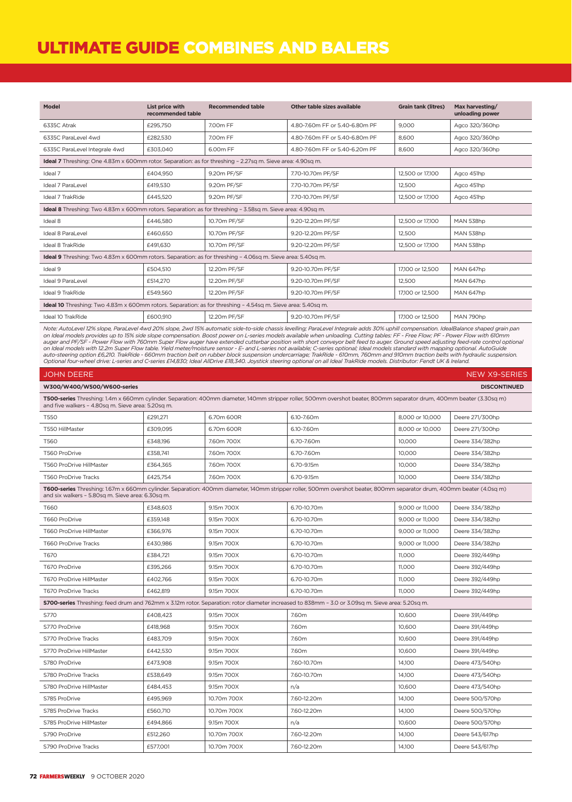### ULTIMATE GUIDE COMBINES AND BALERS

| Model                                                                                                                                                                                       | List price with<br>recommended table | <b>Recommended table</b> | Other table sizes available    | <b>Grain tank (litres)</b> | Max harvesting/<br>unloading power |  |
|---------------------------------------------------------------------------------------------------------------------------------------------------------------------------------------------|--------------------------------------|--------------------------|--------------------------------|----------------------------|------------------------------------|--|
| 6335C Atrak                                                                                                                                                                                 | £295,750                             | 7.00m FF                 | 4.80-7.60m FF or 5.40-6.80m PF | 9.000                      | Agco 320/360hp                     |  |
| 6335C ParaLevel 4wd                                                                                                                                                                         | £282.530                             | 7.00m FF                 | 4.80-7.60m FF or 5.40-6.80m PF | 8.600                      | Agco 320/360hp                     |  |
| 6335C ParaLevel Integrale 4wd                                                                                                                                                               | £303.040                             | 6.00m FF                 | 4.80-7.60m FF or 5.40-6.20m PF | 8.600                      | Agco 320/360hp                     |  |
| <b>Ideal 7</b> Threshing: One 4.83m x 600mm rotor. Separation: as for threshing - 2.27sq m. Sieve area: 4.90sq m.                                                                           |                                      |                          |                                |                            |                                    |  |
| Ideal 7                                                                                                                                                                                     | £404,950                             | 9.20m PF/SF              | 7.70-10.70m PF/SF              | 12.500 or 17.100           | Agco 451hp                         |  |
| Ideal 7 ParaLevel                                                                                                                                                                           | £419.530                             | 9.20m PF/SF              | 7.70-10.70m PF/SF              | 12.500                     | Agco 451hp                         |  |
| Ideal 7 TrakRide                                                                                                                                                                            | £445.520                             | 9.20m PF/SF              | 7.70-10.70m PF/SF              | 12,500 or 17,100           | Agco 451hp                         |  |
| <b>Ideal 8</b> Threshing: Two 4.83m x 600mm rotors. Separation: as for threshing - 3.58sq m. Sieve area: 4.90sq m.                                                                          |                                      |                          |                                |                            |                                    |  |
| Ideal 8                                                                                                                                                                                     | £446.580                             | 10.70m PF/SF             | 9.20-12.20m PF/SF              | 12,500 or 17,100           | MAN 538hp                          |  |
| <b>Ideal 8 ParaLevel</b>                                                                                                                                                                    | £460.650                             | 10.70m PF/SF             | 9.20-12.20m PF/SF              | 12.500                     | MAN 538hp                          |  |
| <b>Ideal 8 TrakRide</b>                                                                                                                                                                     | £491.630                             | 10.70m PF/SF             | 9.20-12.20m PF/SF              | 12,500 or 17,100           | MAN 538hp                          |  |
| <b>Ideal 9</b> Threshing: Two 4.83m x 600mm rotors. Separation: as for threshing - 4.06sq m. Sieve area: 5.40sq m.                                                                          |                                      |                          |                                |                            |                                    |  |
| Ideal 9                                                                                                                                                                                     | £504.510                             | 12.20m PF/SF             | 9.20-10.70m PF/SF              | 17.100 or 12.500           | MAN 647hp                          |  |
| Ideal 9 ParaLevel                                                                                                                                                                           | £514,270                             | 12.20m PF/SF             | 9.20-10.70m PF/SF              | 12.500                     | MAN 647hp                          |  |
| Ideal 9 TrakRide                                                                                                                                                                            | £549,560                             | 12.20m PF/SF             | 9.20-10.70m PF/SF              | 17,100 or 12,500           | MAN 647hp                          |  |
| <b>Ideal 10</b> Threshing: Two 4.83m x 600mm rotors. Separation: as for threshing - 4.54sq m. Sieve area: 5.40sq m.                                                                         |                                      |                          |                                |                            |                                    |  |
| Ideal 10 TrakRide                                                                                                                                                                           | £600.910                             | 12.20m PF/SF             | 9.20-10.70m PF/SF              | 17,100 or 12,500           | MAN 790hp                          |  |
| Note: AutoLoval 120/ clane, DavaLoval Aurol 200/ clane, 2urol 150/ automatic cida to cida abaccio levalliney DavaLend Integral and 700/ uphill componention, IdealPalance changed grain pan |                                      |                          |                                |                            |                                    |  |

Note: AutoLevel 12% slope, ParaLevel 4wd 20% slope, 2wd 15% automatic side-to-side chassis levelling; ParaLevel Integrale adds 30% uphill compensation. IdealBalance shaped grain pan<br>on Ideal models provides up to 15% side

| <b>NEW X9-SERIES</b><br><b>JOHN DEERE</b>                                                                                                                                                                                   |          |             |                                                                                                                                                                       |                 |                 |  |
|-----------------------------------------------------------------------------------------------------------------------------------------------------------------------------------------------------------------------------|----------|-------------|-----------------------------------------------------------------------------------------------------------------------------------------------------------------------|-----------------|-----------------|--|
| W300/W400/W500/W600-series<br><b>DISCONTINUED</b>                                                                                                                                                                           |          |             |                                                                                                                                                                       |                 |                 |  |
| T500-series Threshing: 1.4m x 660mm cylinder. Separation: 400mm diameter, 140mm stripper roller, 500mm overshot beater, 800mm separator drum, 400mm beater (3.30sq m)<br>and five walkers - 4.80sg m. Sieve area: 5.20sg m. |          |             |                                                                                                                                                                       |                 |                 |  |
| <b>T550</b>                                                                                                                                                                                                                 | £291,271 | 6.70m 600R  | 6.10-7.60m                                                                                                                                                            | 8,000 or 10,000 | Deere 271/300hp |  |
| T550 HillMaster                                                                                                                                                                                                             | £309.095 | 6.70m 600R  | 6.10-7.60m                                                                                                                                                            | 8,000 or 10,000 | Deere 271/300hp |  |
| T560                                                                                                                                                                                                                        | £348,196 | 7.60m 700X  | 6.70-7.60m                                                                                                                                                            | 10,000          | Deere 334/382hp |  |
| T560 ProDrive                                                                                                                                                                                                               | £358,741 | 7.60m 700X  | 6.70-7.60m                                                                                                                                                            | 10,000          | Deere 334/382hp |  |
| T560 ProDrive HillMaster                                                                                                                                                                                                    | £364,365 | 7.60m 700X  | 6.70-9.15m                                                                                                                                                            | 10,000          | Deere 334/382hp |  |
| <b>T560 ProDrive Tracks</b>                                                                                                                                                                                                 | £425,754 | 7.60m 700X  | 6.70-9.15m                                                                                                                                                            | 10.000          | Deere 334/382hp |  |
| and six walkers - 5.80sq m. Sieve area: 6.30sq m.                                                                                                                                                                           |          |             | T600-series Threshing: 1.67m x 660mm cylinder. Separation: 400mm diameter, 140mm stripper roller, 500mm overshot beater, 800mm separator drum, 400mm beater (4.0sq m) |                 |                 |  |
| T660                                                                                                                                                                                                                        | £348,603 | 9.15m 700X  | 6.70-10.70m                                                                                                                                                           | 9.000 or 11.000 | Deere 334/382hp |  |
| T660 ProDrive                                                                                                                                                                                                               | £359,148 | 9.15m 700X  | 6.70-10.70m                                                                                                                                                           | 9.000 or 11.000 | Deere 334/382hp |  |
| <b>T660 ProDrive HillMaster</b>                                                                                                                                                                                             | £366,976 | 9.15m 700X  | 6.70-10.70m                                                                                                                                                           | 9.000 or 11.000 | Deere 334/382hp |  |
| <b>T660 ProDrive Tracks</b>                                                                                                                                                                                                 | £430,986 | 9.15m 700X  | 6.70-10.70m                                                                                                                                                           | 9.000 or 11.000 | Deere 334/382hp |  |
| T670                                                                                                                                                                                                                        | £384,721 | 9.15m 700X  | 6.70-10.70m                                                                                                                                                           | 11.000          | Deere 392/449hp |  |
| T670 ProDrive                                                                                                                                                                                                               | £395,266 | 9.15m 700X  | 6.70-10.70m                                                                                                                                                           | 11,000          | Deere 392/449hp |  |
| T670 ProDrive HillMaster                                                                                                                                                                                                    | £402,766 | 9.15m 700X  | 6.70-10.70m                                                                                                                                                           | 11,000          | Deere 392/449hp |  |
| <b>T670 ProDrive Tracks</b>                                                                                                                                                                                                 | £462.819 | 9.15m 700X  | 6.70-10.70m                                                                                                                                                           | 11.000          | Deere 392/449hp |  |
|                                                                                                                                                                                                                             |          |             | S700-series Threshing: feed drum and 762mm x 3.12m rotor. Separation: rotor diameter increased to 838mm - 3.0 or 3.09sq m. Sieve area: 5.20sq m.                      |                 |                 |  |
| S770                                                                                                                                                                                                                        | £408.423 | 9.15m 700X  | 7.60m                                                                                                                                                                 | 10,600          | Deere 391/449hp |  |
| S770 ProDrive                                                                                                                                                                                                               | £418,968 | 9.15m 700X  | 7.60m                                                                                                                                                                 | 10,600          | Deere 391/449hp |  |
| S770 ProDrive Tracks                                                                                                                                                                                                        | £483,709 | 9.15m 700X  | 7.60m                                                                                                                                                                 | 10,600          | Deere 391/449hp |  |
| S770 ProDrive HillMaster                                                                                                                                                                                                    | £442,530 | 9.15m 700X  | 7.60m                                                                                                                                                                 | 10.600          | Deere 391/449hp |  |
| S780 ProDrive                                                                                                                                                                                                               | £473,908 | 9.15m 700X  | 7.60-10.70m                                                                                                                                                           | 14,100          | Deere 473/540hp |  |
| S780 ProDrive Tracks                                                                                                                                                                                                        | £538.649 | 9.15m 700X  | 7.60-10.70m                                                                                                                                                           | 14.100          | Deere 473/540hp |  |
| S780 ProDrive HillMaster                                                                                                                                                                                                    | £484,453 | 9.15m 700X  | n/a                                                                                                                                                                   | 10,600          | Deere 473/540hp |  |
| S785 ProDrive                                                                                                                                                                                                               | £495.969 | 10.70m 700X | 7.60-12.20m                                                                                                                                                           | 14.100          | Deere 500/570hp |  |
| S785 ProDrive Tracks                                                                                                                                                                                                        | £560,710 | 10.70m 700X | 7.60-12.20m                                                                                                                                                           | 14,100          | Deere 500/570hp |  |
| S785 ProDrive HillMaster                                                                                                                                                                                                    | £494,866 | 9.15m 700X  | n/a                                                                                                                                                                   | 10,600          | Deere 500/570hp |  |
| S790 ProDrive                                                                                                                                                                                                               | £512,260 | 10.70m 700X | 7.60-12.20m                                                                                                                                                           | 14,100          | Deere 543/617hp |  |
| S790 ProDrive Tracks                                                                                                                                                                                                        | £577,001 | 10.70m 700X | 7.60-12.20m                                                                                                                                                           | 14,100          | Deere 543/617hp |  |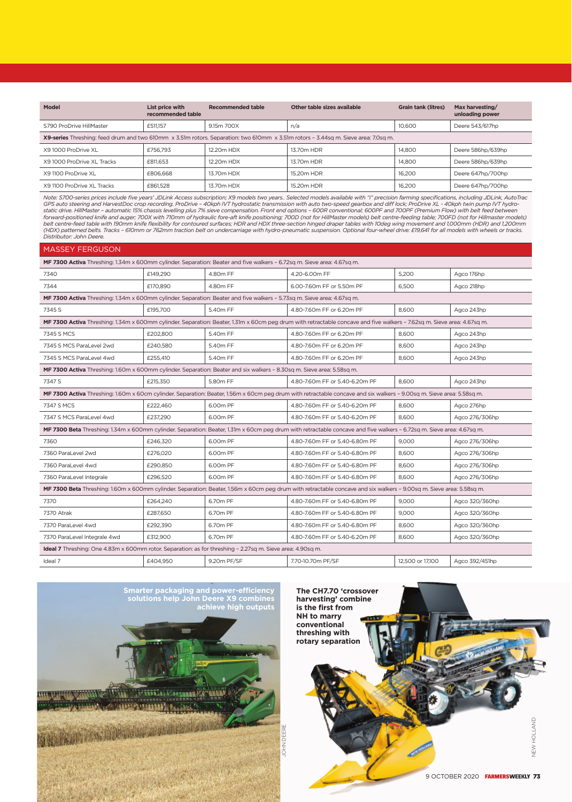| Model                                                                                                                              | List price with<br>recommended table | <b>Recommended table</b> | Other table sizes available | <b>Grain tank (litres)</b> | Max harvesting/<br>unloading power |  |
|------------------------------------------------------------------------------------------------------------------------------------|--------------------------------------|--------------------------|-----------------------------|----------------------------|------------------------------------|--|
| S790 ProDrive HillMaster                                                                                                           | £511.157                             | 9.15m 700X               | n/a                         | 10,600                     | Deere 543/617hp                    |  |
| X9-series Threshing: feed drum and two 610mm x 3.51m rotors. Separation: two 610mm x 3.51m rotors - 3.44sq m. Sieve area: 7.0sq m. |                                      |                          |                             |                            |                                    |  |
| X91000 ProDrive XL                                                                                                                 | £756.793                             | 12.20m HDX               | 13.70m HDR                  | 14.800                     | Deere 586hp/639hp                  |  |
| X91000 ProDrive XL Tracks                                                                                                          | £811.653                             | 12.20m HDX               | 13.70m HDR                  | 14.800                     | Deere 586hp/639hp                  |  |
| X9 1100 ProDrive XL                                                                                                                | £806,668                             | 13.70m HDX               | 15.20m HDR                  | 16.200                     | Deere 647hp/700hp                  |  |
| X9 1100 ProDrive XL Tracks                                                                                                         | £861,528                             | 13.70m HDX               | 15.20m HDR                  | 16.200                     | Deere 647hp/700hp                  |  |

Note: S700-series prices include five years' JDLink Access subscription; X9 models two years.. Selected models available with "i" precision farming specifications, including JDLink, AutoTrac<br>GPS auto steering and HarvestDo

|                                                                                                                                                                       | <b>MASSEY FERGUSON</b> |             |                                                                                                                                                                         |                  |                |  |  |
|-----------------------------------------------------------------------------------------------------------------------------------------------------------------------|------------------------|-------------|-------------------------------------------------------------------------------------------------------------------------------------------------------------------------|------------------|----------------|--|--|
| MF 7300 Activa Threshing: 1.34m x 600mm cylinder. Separation: Beater and five walkers - 6.72sq m. Sieve area: 4.67sq m.                                               |                        |             |                                                                                                                                                                         |                  |                |  |  |
| 7340                                                                                                                                                                  | £149,290               | 4.80m FF    | 4.20-6.00m FF                                                                                                                                                           | 5,200            | Agco 176hp     |  |  |
| 7344                                                                                                                                                                  | £170,890               | 4.80m FF    | 6.00-7.60m FF or 5.50m PF                                                                                                                                               | 6,500            | Agco 218hp     |  |  |
| MF 7300 Activa Threshing: 1.34m x 600mm cylinder. Separation: Beater and five walkers - 5.73sq m. Sieve area: 4.67sq m.                                               |                        |             |                                                                                                                                                                         |                  |                |  |  |
| 7345 S                                                                                                                                                                | £195,700               | 5.40m FF    | 4.80-7.60m FF or 6.20m PF                                                                                                                                               | 8,600            | Agco 243hp     |  |  |
|                                                                                                                                                                       |                        |             | MF 7300 Activa Threshing: 1.34m x 600mm cylinder. Separation: Beater, 1.31m x 60cm peg drum with retractable concave and five walkers - 7.62sq m. Sieve area: 4.67sq m. |                  |                |  |  |
| 7345 S MCS                                                                                                                                                            | £202,800               | 5.40m FF    | 4.80-7.60m FF or 6.20m PF                                                                                                                                               | 8,600            | Agco 243hp     |  |  |
| 7345 S MCS ParaLevel 2wd                                                                                                                                              | £240,580               | 5.40m FF    | 4.80-7.60m FF or 6.20m PF                                                                                                                                               | 8.600            | Agco 243hp     |  |  |
| 7345 S MCS ParaLevel 4wd                                                                                                                                              | £255,410               | 5.40m FF    | 4.80-7.60m FF or 6.20m PF                                                                                                                                               | 8,600            | Agco 243hp     |  |  |
| MF 7300 Activa Threshing: 1.60m x 600mm cylinder. Separation: Beater and six walkers - 8.30sq m. Sieve area: 5.58sq m.                                                |                        |             |                                                                                                                                                                         |                  |                |  |  |
| 7347 S                                                                                                                                                                | £215,350               | 5.80m FF    | 4.80-7.60m FF or 5.40-6.20m PF                                                                                                                                          | 8,600            | Agco 243hp     |  |  |
| MF 7300 Activa Threshing: 1.60m x 60cm cylinder. Separation: Beater, 1.56m x 60cm peg drum with retractable concave and six walkers - 9.00sq m. Sieve area: 5.58sq m. |                        |             |                                                                                                                                                                         |                  |                |  |  |
| 7347 S MCS                                                                                                                                                            | £222,460               | 6.00m PF    | 4.80-7.60m FF or 5.40-6.20m PF                                                                                                                                          | 8,600            | Agco 276hp     |  |  |
| 7347 S MCS ParaLevel 4wd                                                                                                                                              | £237.290               | 6.00m PF    | 4.80-7.60m FF or 5.40-6.20m PF                                                                                                                                          | 8,600            | Agco 276/306hp |  |  |
|                                                                                                                                                                       |                        |             | MF 7300 Beta Threshing: 1.34m x 600mm cylinder. Separation: Beater, 1.31m x 60cm peg drum with retractable concave and five walkers - 6.72sq m. Sieve area: 4.67sq m.   |                  |                |  |  |
| 7360                                                                                                                                                                  | £246,320               | 6.00m PF    | 4.80-7.60m FF or 5.40-6.80m PF                                                                                                                                          | 9.000            | Agco 276/306hp |  |  |
| 7360 ParaLevel 2wd                                                                                                                                                    | £276,020               | 6.00m PF    | 4.80-7.60m FF or 5.40-6.80m PF                                                                                                                                          | 8,600            | Agco 276/306hp |  |  |
| 7360 ParaLevel 4wd                                                                                                                                                    | £290.850               | 6.00m PF    | 4.80-7.60m FF or 5.40-6.80m PF                                                                                                                                          | 8.600            | Agco 276/306hp |  |  |
| 7360 ParaLevel Integrale                                                                                                                                              | £296.520               | 6.00m PF    | 4.80-7.60m FF or 5.40-6.80m PF                                                                                                                                          | 8,600            | Agco 276/306hp |  |  |
|                                                                                                                                                                       |                        |             | MF 7300 Beta Threshing: 1.60m x 600mm cylinder. Separation: Beater, 1.56m x 60cm peg drum with retractable concave and six walkers - 9.00sq m. Sieve area: 5.58sq m.    |                  |                |  |  |
| 7370                                                                                                                                                                  | £264,240               | 6.70m PF    | 4.80-7.60m FF or 5.40-6.80m PF                                                                                                                                          | 9.000            | Agco 320/360hp |  |  |
| 7370 Atrak                                                                                                                                                            | £287.650               | 6.70m PF    | 4.80-7.60m FF or 5.40-6.80m PF                                                                                                                                          | 9.000            | Agco 320/360hp |  |  |
| 7370 ParaLevel 4wd                                                                                                                                                    | £292,390               | 6.70m PF    | 4.80-7.60m FF or 5.40-6.80m PF                                                                                                                                          | 8,600            | Agco 320/360hp |  |  |
| 7370 ParaLevel Integrale 4wd                                                                                                                                          | £312,900               | 6.70m PF    | 4.80-7.60m FF or 5.40-6.20m PF                                                                                                                                          | 8,600            | Agco 320/360hp |  |  |
| Ideal 7 Threshing: One 4.83m x 600mm rotor. Separation: as for threshing - 2.27sq m. Sieve area: 4.90sq m.                                                            |                        |             |                                                                                                                                                                         |                  |                |  |  |
| Ideal 7                                                                                                                                                               | £404.950               | 9.20m PF/SF | 7.70-10.70m PF/SF                                                                                                                                                       | 12,500 or 17,100 | Agco 392/451hp |  |  |